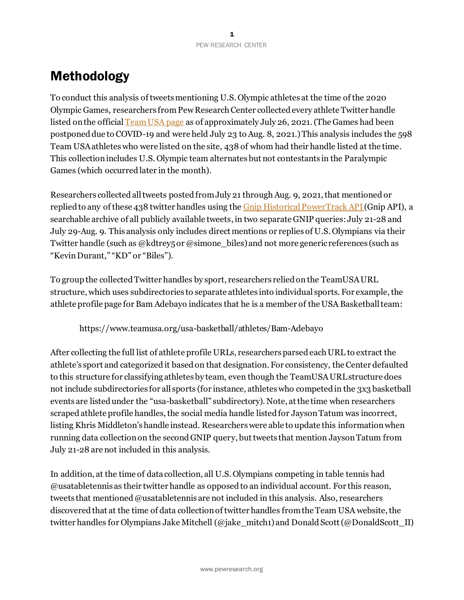## Methodology

To conduct this analysis of tweets mentioning U.S. Olympic athletes at the time of the 2020 Olympic Games, researchers from Pew ResearchCenter collected every athlete Twitter handle listed on the officia[l Team USA page](https://www.teamusa.org/athletes) as of approximately July 26, 2021. (The Games had been postponed due to COVID-19 and were held July 23 to Aug. 8, 2021.) This analysis includes the 598 Team USA athletes who were listed on the site, 438 of whom had their handle listed at the time. This collectionincludes U.S. Olympic team alternates but not contestants in the Paralympic Games (which occurred later in the month).

Researchers collected all tweets posted from July 21 through Aug. 9, 2021, that mentioned or replied to any of these 438 twitter handles using the Gnip Historical PowerTrack API (Gnip API), a searchable archive of all publicly available tweets, in two separate GNIP queries: July 21-28 and July 29-Aug. 9. This analysis only includes direct mentions or replies of U.S. Olympians via their Twitter handle (such as @kdtrey5 or @simone\_biles) and not more generic references (such as "Kevin Durant," "KD" or "Biles").

To group the collected Twitter handles by sport, researchers relied on the TeamUSA URL structure, which uses subdirectories to separate athletes into individual sports. For example, the athlete profile page for Bam Adebayo indicates that he is a member of the USA Basketball team:

https://www.teamusa.org/usa-basketball/athletes/Bam-Adebayo

After collecting the full list of athlete profile URLs, researchers parsed each URL to extract the athlete's sport and categorized it based on that designation. For consistency, the Center defaulted to this structure for classifying athletes by team, even though the TeamUSA URLstructure does not include subdirectories for all sports (for instance, athletes who competed in the 3x3 basketball events are listed under the "usa-basketball" subdirectory). Note, at the time when researchers scraped athlete profile handles, the social media handle listed for Jayson Tatum was incorrect, listing Khris Middleton's handle instead. Researchers were able to update this information when running data collection on the second GNIP query, but tweets that mention Jayson Tatum from July 21-28 are not included in this analysis.

In addition, at the time of data collection, all U.S. Olympians competing in table tennis had @usatabletennis as their twitter handle as opposed to an individual account. For this reason, tweets that mentioned @usatabletennis are not included in this analysis. Also, researchers discovered that at the time of data collection of twitter handles from the Team USA website, the twitter handles for Olympians Jake Mitchell (@jake\_mitch1) and Donald Scott (@DonaldScott\_II)